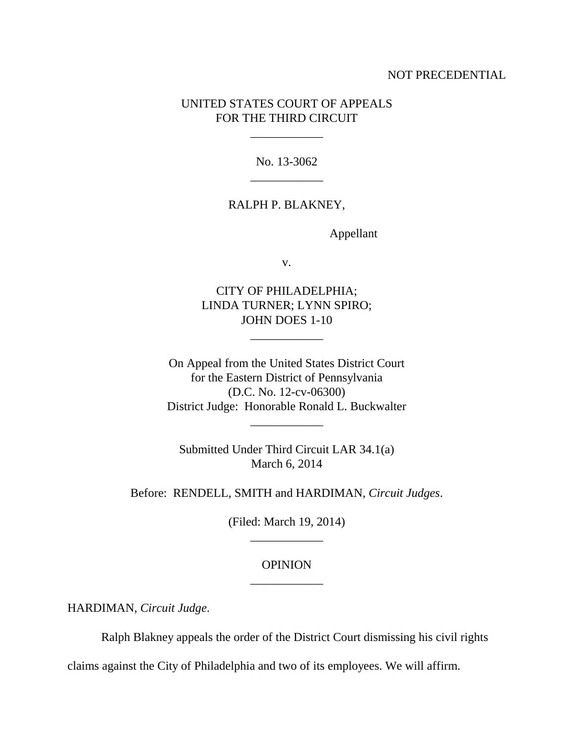### NOT PRECEDENTIAL

# UNITED STATES COURT OF APPEALS FOR THE THIRD CIRCUIT

\_\_\_\_\_\_\_\_\_\_\_\_

No. 13-3062 \_\_\_\_\_\_\_\_\_\_\_\_

### RALPH P. BLAKNEY,

Appellant

v.

CITY OF PHILADELPHIA; LINDA TURNER; LYNN SPIRO; JOHN DOES 1-10

\_\_\_\_\_\_\_\_\_\_\_\_

On Appeal from the United States District Court for the Eastern District of Pennsylvania (D.C. No. 12-cv-06300) District Judge: Honorable Ronald L. Buckwalter

Submitted Under Third Circuit LAR 34.1(a) March 6, 2014

\_\_\_\_\_\_\_\_\_\_\_\_

Before: RENDELL, SMITH and HARDIMAN, *Circuit Judges*.

(Filed: March 19, 2014) \_\_\_\_\_\_\_\_\_\_\_\_

# OPINION \_\_\_\_\_\_\_\_\_\_\_\_

HARDIMAN, *Circuit Judge*.

Ralph Blakney appeals the order of the District Court dismissing his civil rights

claims against the City of Philadelphia and two of its employees. We will affirm.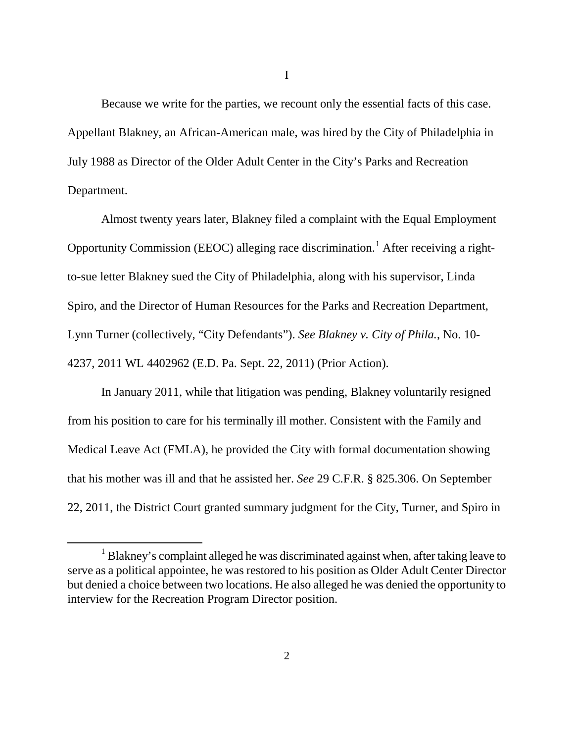Because we write for the parties, we recount only the essential facts of this case. Appellant Blakney, an African-American male, was hired by the City of Philadelphia in July 1988 as Director of the Older Adult Center in the City's Parks and Recreation Department.

Almost twenty years later, Blakney filed a complaint with the Equal Employment Opportunity Commission (EEOC) alleging race discrimination.[1](#page-1-0) After receiving a rightto-sue letter Blakney sued the City of Philadelphia, along with his supervisor, Linda Spiro, and the Director of Human Resources for the Parks and Recreation Department, Lynn Turner (collectively, "City Defendants"). *See Blakney v. City of Phila.*, No. 10- 4237, 2011 WL 4402962 (E.D. Pa. Sept. 22, 2011) (Prior Action).

In January 2011, while that litigation was pending, Blakney voluntarily resigned from his position to care for his terminally ill mother. Consistent with the Family and Medical Leave Act (FMLA), he provided the City with formal documentation showing that his mother was ill and that he assisted her. *See* 29 C.F.R. § 825.306. On September 22, 2011, the District Court granted summary judgment for the City, Turner, and Spiro in

I

<span id="page-1-0"></span><sup>&</sup>lt;sup>1</sup> Blakney's complaint alleged he was discriminated against when, after taking leave to serve as a political appointee, he was restored to his position as Older Adult Center Director but denied a choice between two locations. He also alleged he was denied the opportunity to interview for the Recreation Program Director position.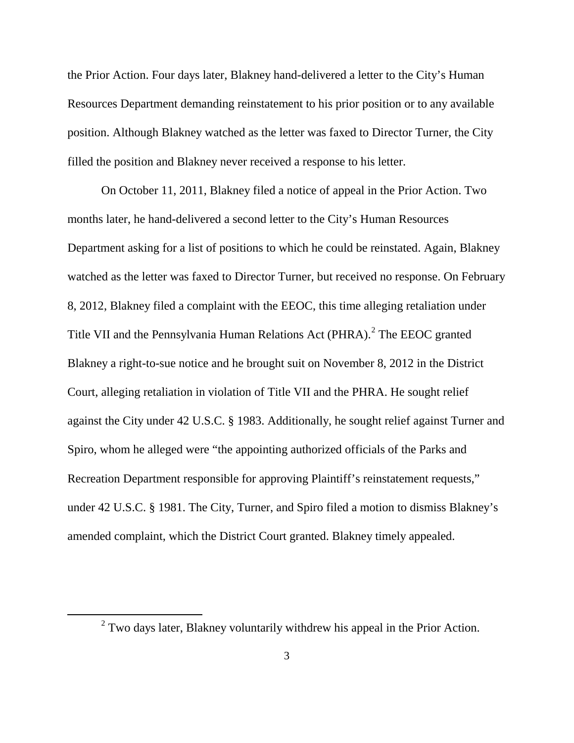the Prior Action. Four days later, Blakney hand-delivered a letter to the City's Human Resources Department demanding reinstatement to his prior position or to any available position. Although Blakney watched as the letter was faxed to Director Turner, the City filled the position and Blakney never received a response to his letter.

On October 11, 2011, Blakney filed a notice of appeal in the Prior Action. Two months later, he hand-delivered a second letter to the City's Human Resources Department asking for a list of positions to which he could be reinstated. Again, Blakney watched as the letter was faxed to Director Turner, but received no response. On February 8, 2012, Blakney filed a complaint with the EEOC, this time alleging retaliation under Title VII and the Pennsylvania Human Relations Act (PHRA).<sup>[2](#page-2-0)</sup> The EEOC granted Blakney a right-to-sue notice and he brought suit on November 8, 2012 in the District Court, alleging retaliation in violation of Title VII and the PHRA. He sought relief against the City under 42 U.S.C. § 1983. Additionally, he sought relief against Turner and Spiro, whom he alleged were "the appointing authorized officials of the Parks and Recreation Department responsible for approving Plaintiff's reinstatement requests," under 42 U.S.C. § 1981. The City, Turner, and Spiro filed a motion to dismiss Blakney's amended complaint, which the District Court granted. Blakney timely appealed.

<span id="page-2-0"></span> $2$  Two days later, Blakney voluntarily withdrew his appeal in the Prior Action.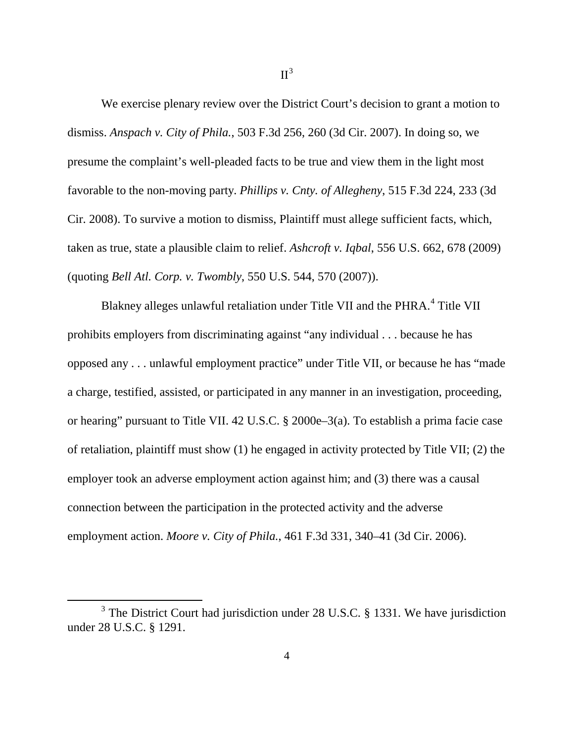We exercise plenary review over the District Court's decision to grant a motion to dismiss. *Anspach v. City of Phila.*, 503 F.3d 256, 260 (3d Cir. 2007). In doing so, we presume the complaint's well-pleaded facts to be true and view them in the light most favorable to the non-moving party. *Phillips v. Cnty. of Allegheny*, 515 F.3d 224, 233 (3d Cir. 2008). To survive a motion to dismiss, Plaintiff must allege sufficient facts, which, taken as true, state a plausible claim to relief. *Ashcroft v. Iqbal*, 556 U.S. 662, 678 (2009) (quoting *Bell Atl. Corp. v. Twombly*, 550 U.S. 544, 570 (2007)).

Blakney alleges unlawful retaliation under Title VII and the PHRA.<sup>[4](#page-3-0)</sup> Title VII prohibits employers from discriminating against "any individual . . . because he has opposed any . . . unlawful employment practice" under Title VII, or because he has "made a charge, testified, assisted, or participated in any manner in an investigation, proceeding, or hearing" pursuant to Title VII. 42 U.S.C. § 2000e–3(a). To establish a prima facie case of retaliation, plaintiff must show (1) he engaged in activity protected by Title VII; (2) the employer took an adverse employment action against him; and (3) there was a causal connection between the participation in the protected activity and the adverse employment action. *Moore v. City of Phila.*, 461 F.3d 331, 340–41 (3d Cir. 2006).

<span id="page-3-0"></span><sup>&</sup>lt;sup>3</sup> The District Court had jurisdiction under 28 U.S.C. § 1331. We have jurisdiction under 28 U.S.C. § 1291.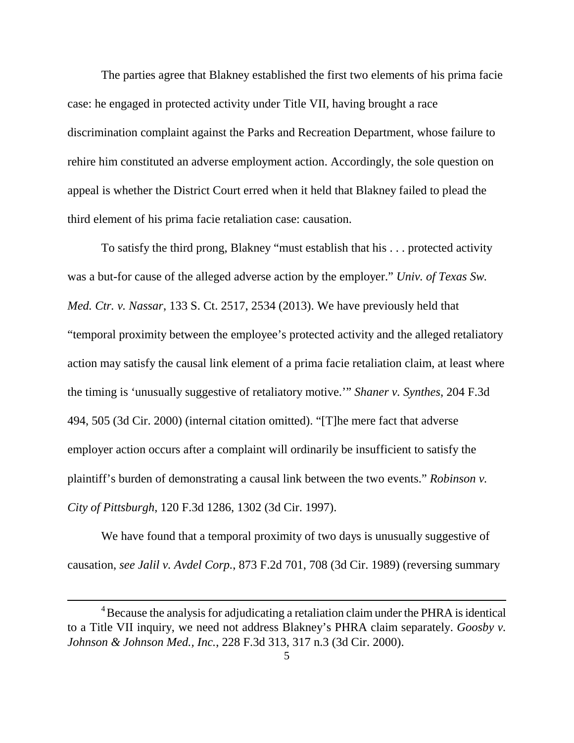The parties agree that Blakney established the first two elements of his prima facie case: he engaged in protected activity under Title VII, having brought a race discrimination complaint against the Parks and Recreation Department, whose failure to rehire him constituted an adverse employment action. Accordingly, the sole question on appeal is whether the District Court erred when it held that Blakney failed to plead the third element of his prima facie retaliation case: causation.

To satisfy the third prong, Blakney "must establish that his . . . protected activity was a but-for cause of the alleged adverse action by the employer." *Univ. of Texas Sw. Med. Ctr. v. Nassar*, 133 S. Ct. 2517, 2534 (2013). We have previously held that "temporal proximity between the employee's protected activity and the alleged retaliatory action may satisfy the causal link element of a prima facie retaliation claim, at least where the timing is 'unusually suggestive of retaliatory motive.'" *Shaner v. Synthes*, 204 F.3d 494, 505 (3d Cir. 2000) (internal citation omitted). "[T]he mere fact that adverse employer action occurs after a complaint will ordinarily be insufficient to satisfy the plaintiff's burden of demonstrating a causal link between the two events." *Robinson v. City of Pittsburgh*, 120 F.3d 1286, 1302 (3d Cir. 1997).

We have found that a temporal proximity of two days is unusually suggestive of causation, *see Jalil v. Avdel Corp.*, 873 F.2d 701, 708 (3d Cir. 1989) (reversing summary

 $\overline{4}$ <sup>4</sup> Because the analysis for adjudicating a retaliation claim under the PHRA is identical to a Title VII inquiry, we need not address Blakney's PHRA claim separately. *Goosby v. Johnson & Johnson Med., Inc.*, 228 F.3d 313, 317 n.3 (3d Cir. 2000).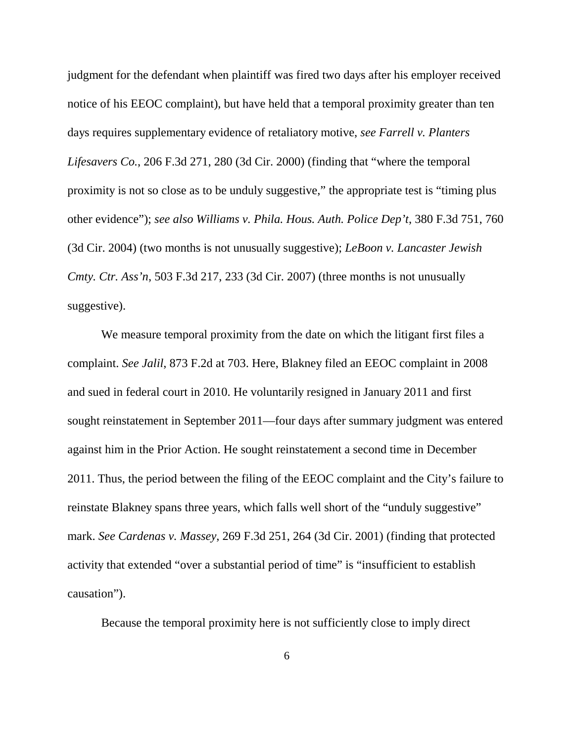judgment for the defendant when plaintiff was fired two days after his employer received notice of his EEOC complaint), but have held that a temporal proximity greater than ten days requires supplementary evidence of retaliatory motive, *see Farrell v. Planters Lifesavers Co.*, 206 F.3d 271, 280 (3d Cir. 2000) (finding that "where the temporal proximity is not so close as to be unduly suggestive," the appropriate test is "timing plus other evidence"); *see also Williams v. Phila. Hous. Auth. Police Dep't*, 380 F.3d 751, 760 (3d Cir. 2004) (two months is not unusually suggestive); *LeBoon v. Lancaster Jewish Cmty. Ctr. Ass'n*, 503 F.3d 217, 233 (3d Cir. 2007) (three months is not unusually suggestive).

We measure temporal proximity from the date on which the litigant first files a complaint. *See Jalil*, 873 F.2d at 703. Here, Blakney filed an EEOC complaint in 2008 and sued in federal court in 2010. He voluntarily resigned in January 2011 and first sought reinstatement in September 2011—four days after summary judgment was entered against him in the Prior Action. He sought reinstatement a second time in December 2011. Thus, the period between the filing of the EEOC complaint and the City's failure to reinstate Blakney spans three years, which falls well short of the "unduly suggestive" mark. *See Cardenas v. Massey*, 269 F.3d 251, 264 (3d Cir. 2001) (finding that protected activity that extended "over a substantial period of time" is "insufficient to establish causation").

Because the temporal proximity here is not sufficiently close to imply direct

6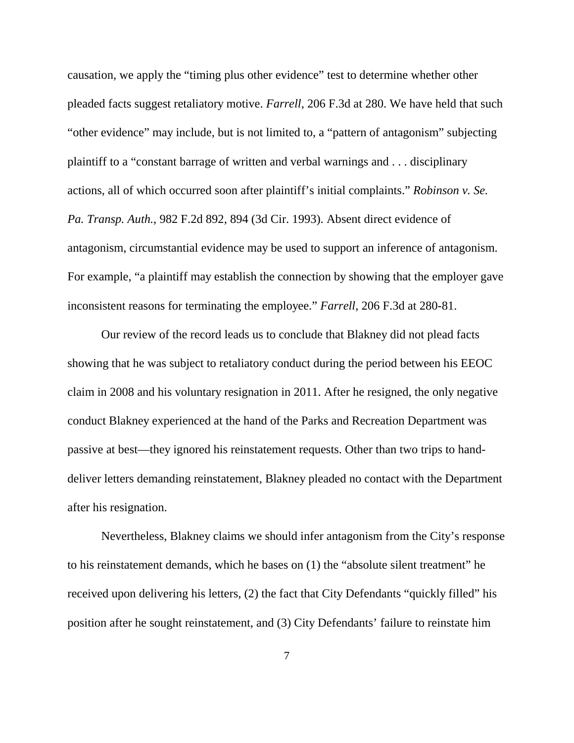causation, we apply the "timing plus other evidence" test to determine whether other pleaded facts suggest retaliatory motive. *Farrell*, 206 F.3d at 280. We have held that such "other evidence" may include, but is not limited to, a "pattern of antagonism" subjecting plaintiff to a "constant barrage of written and verbal warnings and . . . disciplinary actions, all of which occurred soon after plaintiff's initial complaints." *Robinson v. Se. Pa. Transp. Auth.*, 982 F.2d 892, 894 (3d Cir. 1993). Absent direct evidence of antagonism, circumstantial evidence may be used to support an inference of antagonism. For example, "a plaintiff may establish the connection by showing that the employer gave inconsistent reasons for terminating the employee." *Farrell*, 206 F.3d at 280-81.

Our review of the record leads us to conclude that Blakney did not plead facts showing that he was subject to retaliatory conduct during the period between his EEOC claim in 2008 and his voluntary resignation in 2011. After he resigned, the only negative conduct Blakney experienced at the hand of the Parks and Recreation Department was passive at best—they ignored his reinstatement requests. Other than two trips to handdeliver letters demanding reinstatement, Blakney pleaded no contact with the Department after his resignation.

Nevertheless, Blakney claims we should infer antagonism from the City's response to his reinstatement demands, which he bases on (1) the "absolute silent treatment" he received upon delivering his letters, (2) the fact that City Defendants "quickly filled" his position after he sought reinstatement, and (3) City Defendants' failure to reinstate him

7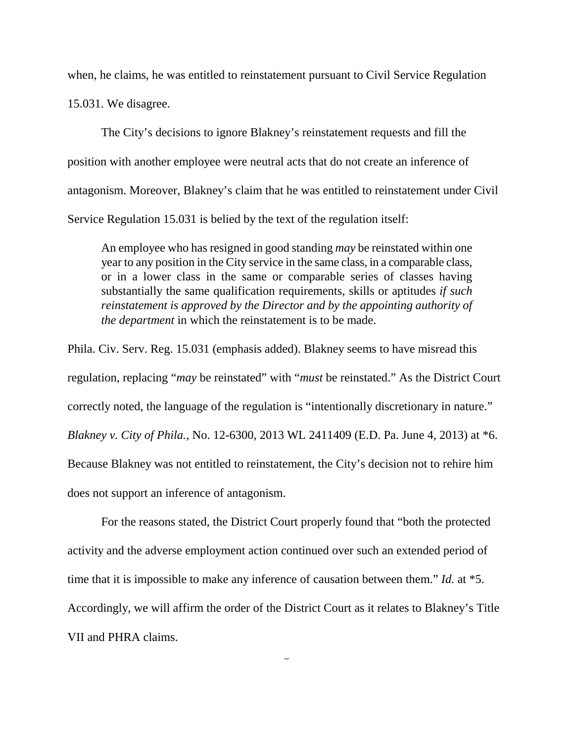when, he claims, he was entitled to reinstatement pursuant to Civil Service Regulation 15.031. We disagree.

The City's decisions to ignore Blakney's reinstatement requests and fill the position with another employee were neutral acts that do not create an inference of antagonism. Moreover, Blakney's claim that he was entitled to reinstatement under Civil Service Regulation 15.031 is belied by the text of the regulation itself:

An employee who has resigned in good standing *may* be reinstated within one year to any position in the City service in the same class, in a comparable class, or in a lower class in the same or comparable series of classes having substantially the same qualification requirements, skills or aptitudes *if such reinstatement is approved by the Director and by the appointing authority of the department* in which the reinstatement is to be made.

Phila. Civ. Serv. Reg. 15.031 (emphasis added). Blakney seems to have misread this regulation, replacing "*may* be reinstated" with "*must* be reinstated." As the District Court correctly noted, the language of the regulation is "intentionally discretionary in nature." *Blakney v. City of Phila.*, No. 12-6300, 2013 WL 2411409 (E.D. Pa. June 4, 2013) at \*6. Because Blakney was not entitled to reinstatement, the City's decision not to rehire him does not support an inference of antagonism.

For the reasons stated, the District Court properly found that "both the protected activity and the adverse employment action continued over such an extended period of time that it is impossible to make any inference of causation between them." *Id.* at \*5. Accordingly, we will affirm the order of the District Court as it relates to Blakney's Title VII and PHRA claims.

 $\overline{a}$